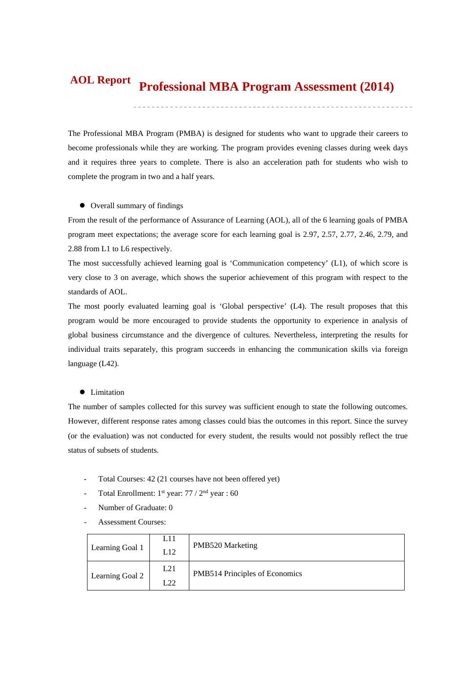#### **Professional MBA Program Assessment (2014) AOL Report**

The Professional MBA Program (PMBA) is designed for students who want to upgrade their careers to become professionals while they are working. The program provides evening classes during week days and it requires three years to complete. There is also an acceleration path for students who wish to complete the program in two and a half years.

#### $\bullet$  Overall summary of findings

From the result of the performance of Assurance of Learning (AOL), all of the 6 learning goals of PMBA program meet expectations; the average score for each learning goal is 2.97, 2.57, 2.77, 2.46, 2.79, and 2.88 from L1 to L6 respectively.

The most successfully achieved learning goal is 'Communication competency' (L1), of which score is very close to 3 on average, which shows the superior achievement of this program with respect to the standards of AOL.

The most poorly evaluated learning goal is 'Global perspective' (L4). The result proposes that this program would be more encouraged to provide students the opportunity to experience in analysis of global business circumstance and the divergence of cultures. Nevertheless, interpreting the results for individual traits separately, this program succeeds in enhancing the communication skills via foreign language (L42).

#### $\bullet$  Limitation

The number of samples collected for this survey was sufficient enough to state the following outcomes. However, different response rates among classes could bias the outcomes in this report. Since the survey (or the evaluation) was not conducted for every student, the results would not possibly reflect the true status of subsets of students.

- Total Courses: 42 (21 courses have not been offered yet)
- Total Enrollment: 1<sup>st</sup> year: 77 / 2<sup>nd</sup> year : 60
- Number of Graduate: 0
- Assessment Courses:

| Learning Goal 1 | L11<br>L12 | PMB520 Marketing               |
|-----------------|------------|--------------------------------|
| Learning Goal 2 | L21<br>L22 | PMB514 Principles of Economics |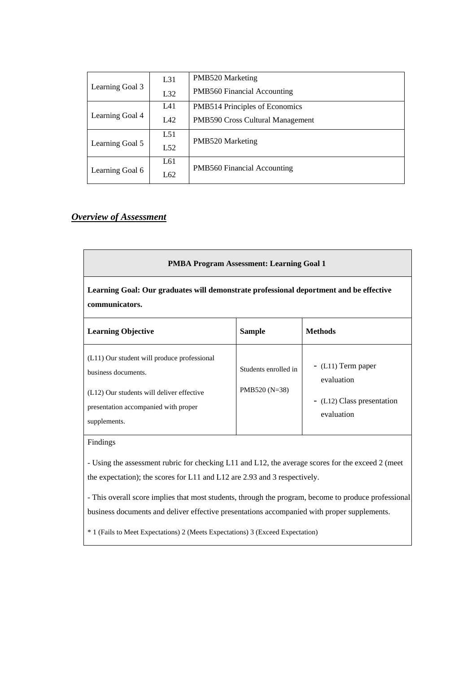|                        | L31 | PMB520 Marketing                      |  |  |  |
|------------------------|-----|---------------------------------------|--|--|--|
| Learning Goal 3        | L32 | <b>PMB560 Financial Accounting</b>    |  |  |  |
|                        | L41 | <b>PMB514 Principles of Economics</b> |  |  |  |
| Learning Goal 4<br>L42 |     | PMB590 Cross Cultural Management      |  |  |  |
|                        | L51 |                                       |  |  |  |
| Learning Goal 5        | L52 | PMB520 Marketing                      |  |  |  |
|                        | L61 | <b>PMB560 Financial Accounting</b>    |  |  |  |
| Learning Goal 6        | L62 |                                       |  |  |  |

# *Overview of Assessment*

| <b>PMBA Program Assessment: Learning Goal 1</b>                                                                                                                         |                                         |                                                                               |  |  |  |  |  |  |
|-------------------------------------------------------------------------------------------------------------------------------------------------------------------------|-----------------------------------------|-------------------------------------------------------------------------------|--|--|--|--|--|--|
| Learning Goal: Our graduates will demonstrate professional deportment and be effective<br>communicators.                                                                |                                         |                                                                               |  |  |  |  |  |  |
| <b>Learning Objective</b>                                                                                                                                               | <b>Sample</b>                           | <b>Methods</b>                                                                |  |  |  |  |  |  |
| (L11) Our student will produce professional<br>business documents.<br>(L12) Our students will deliver effective<br>presentation accompanied with proper<br>supplements. | Students enrolled in<br>PMB520 $(N=38)$ | $-L11$ ) Term paper<br>evaluation<br>- (L12) Class presentation<br>evaluation |  |  |  |  |  |  |

## Findings

- Using the assessment rubric for checking L11 and L12, the average scores for the exceed 2 (meet the expectation); the scores for L11 and L12 are 2.93 and 3 respectively.

- This overall score implies that most students, through the program, become to produce professional business documents and deliver effective presentations accompanied with proper supplements.

\* 1 (Fails to Meet Expectations) 2 (Meets Expectations) 3 (Exceed Expectation)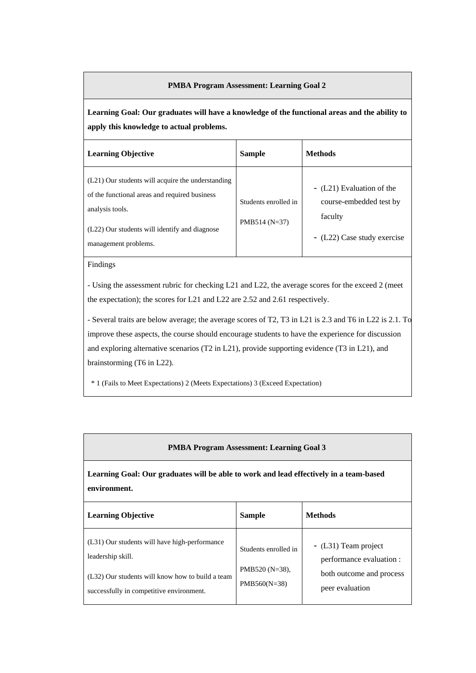## **PMBA Program Assessment: Learning Goal 2**

**Learning Goal: Our graduates will have a knowledge of the functional areas and the ability to apply this knowledge to actual problems.** 

| <b>Learning Objective</b>                                                                                                                                                                      | <b>Sample</b>                           | <b>Methods</b>                                                                                 |
|------------------------------------------------------------------------------------------------------------------------------------------------------------------------------------------------|-----------------------------------------|------------------------------------------------------------------------------------------------|
| (L21) Our students will acquire the understanding<br>of the functional areas and required business<br>analysis tools.<br>(L22) Our students will identify and diagnose<br>management problems. | Students enrolled in<br>$PMB514 (N=37)$ | - (L21) Evaluation of the<br>course-embedded test by<br>faculty<br>- (L22) Case study exercise |

Findings

- Using the assessment rubric for checking L21 and L22, the average scores for the exceed 2 (meet the expectation); the scores for L21 and L22 are 2.52 and 2.61 respectively.

- Several traits are below average; the average scores of T2, T3 in L21 is 2.3 and T6 in L22 is 2.1. To improve these aspects, the course should encourage students to have the experience for discussion and exploring alternative scenarios (T2 in L21), provide supporting evidence (T3 in L21), and brainstorming (T6 in L22).

\* 1 (Fails to Meet Expectations) 2 (Meets Expectations) 3 (Exceed Expectation)

## **PMBA Program Assessment: Learning Goal 3**

**Learning Goal: Our graduates will be able to work and lead effectively in a team-based environment.** 

| <b>Learning Objective</b>                                                                                                                                          | <b>Sample</b>                                            | <b>Methods</b>                                                                                  |
|--------------------------------------------------------------------------------------------------------------------------------------------------------------------|----------------------------------------------------------|-------------------------------------------------------------------------------------------------|
| (L31) Our students will have high-performance<br>leadership skill.<br>(L32) Our students will know how to build a team<br>successfully in competitive environment. | Students enrolled in<br>PMB520 (N=38),<br>$PMB560(N=38)$ | - (L31) Team project<br>performance evaluation :<br>both outcome and process<br>peer evaluation |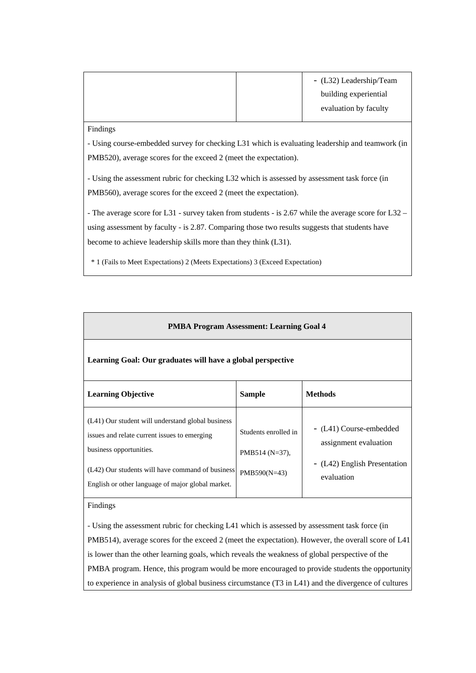|  | - (L32) Leadership/Team |
|--|-------------------------|
|  | building experiential   |
|  | evaluation by faculty   |
|  |                         |

Findings

- Using course-embedded survey for checking L31 which is evaluating leadership and teamwork (in PMB520), average scores for the exceed 2 (meet the expectation).

- Using the assessment rubric for checking L32 which is assessed by assessment task force (in PMB560), average scores for the exceed 2 (meet the expectation).

- The average score for L31 - survey taken from students - is 2.67 while the average score for L32 – using assessment by faculty - is 2.87. Comparing those two results suggests that students have become to achieve leadership skills more than they think (L31).

\* 1 (Fails to Meet Expectations) 2 (Meets Expectations) 3 (Exceed Expectation)

| <b>PMBA Program Assessment: Learning Goal 4</b>                                                                                                                                                                                       |                                                             |                                                                                                |  |  |  |  |  |  |  |  |
|---------------------------------------------------------------------------------------------------------------------------------------------------------------------------------------------------------------------------------------|-------------------------------------------------------------|------------------------------------------------------------------------------------------------|--|--|--|--|--|--|--|--|
| Learning Goal: Our graduates will have a global perspective                                                                                                                                                                           |                                                             |                                                                                                |  |  |  |  |  |  |  |  |
| <b>Learning Objective</b>                                                                                                                                                                                                             | <b>Sample</b>                                               | <b>Methods</b>                                                                                 |  |  |  |  |  |  |  |  |
| (L41) Our student will understand global business<br>issues and relate current issues to emerging<br>business opportunities.<br>(L42) Our students will have command of business<br>English or other language of major global market. | Students enrolled in<br>PMB514 $(N=37)$ ,<br>$PMB590(N=43)$ | - (L41) Course-embedded<br>assignment evaluation<br>- (L42) English Presentation<br>evaluation |  |  |  |  |  |  |  |  |

Findings

- Using the assessment rubric for checking L41 which is assessed by assessment task force (in PMB514), average scores for the exceed 2 (meet the expectation). However, the overall score of L41 is lower than the other learning goals, which reveals the weakness of global perspective of the PMBA program. Hence, this program would be more encouraged to provide students the opportunity to experience in analysis of global business circumstance (T3 in L41) and the divergence of cultures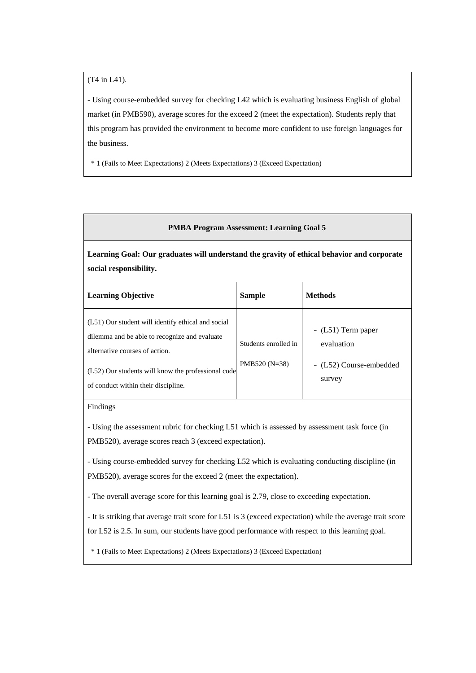(T4 in L41).

- Using course-embedded survey for checking L42 which is evaluating business English of global market (in PMB590), average scores for the exceed 2 (meet the expectation). Students reply that this program has provided the environment to become more confident to use foreign languages for the business.

\* 1 (Fails to Meet Expectations) 2 (Meets Expectations) 3 (Exceed Expectation)

### **PMBA Program Assessment: Learning Goal 5**

**Learning Goal: Our graduates will understand the gravity of ethical behavior and corporate social responsibility.** 

| <b>Learning Objective</b>                                                                                                                                                                                                          | <b>Sample</b>                           | <b>Methods</b>                                                         |
|------------------------------------------------------------------------------------------------------------------------------------------------------------------------------------------------------------------------------------|-----------------------------------------|------------------------------------------------------------------------|
| (L51) Our student will identify ethical and social<br>dilemma and be able to recognize and evaluate<br>alternative courses of action.<br>(L52) Our students will know the professional code<br>of conduct within their discipline. | Students enrolled in<br>PMB520 $(N=38)$ | $-L51$ ) Term paper<br>evaluation<br>- (L52) Course-embedded<br>survey |

### Findings

- Using the assessment rubric for checking L51 which is assessed by assessment task force (in PMB520), average scores reach 3 (exceed expectation).

- Using course-embedded survey for checking L52 which is evaluating conducting discipline (in PMB520), average scores for the exceed 2 (meet the expectation).

- The overall average score for this learning goal is 2.79, close to exceeding expectation.

- It is striking that average trait score for L51 is 3 (exceed expectation) while the average trait score for L52 is 2.5. In sum, our students have good performance with respect to this learning goal.

\* 1 (Fails to Meet Expectations) 2 (Meets Expectations) 3 (Exceed Expectation)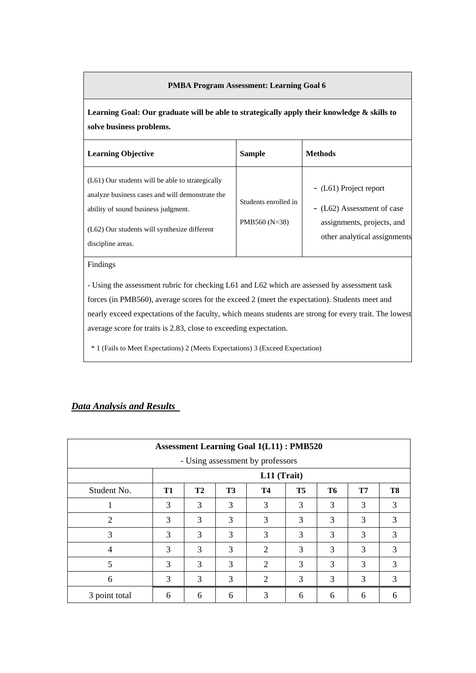## **PMBA Program Assessment: Learning Goal 6**

**Learning Goal: Our graduate will be able to strategically apply their knowledge & skills to solve business problems.** 

| <b>Learning Objective</b>                                                                                                                                                                                         | <b>Sample</b>                          | <b>Methods</b>                                                                                                     |
|-------------------------------------------------------------------------------------------------------------------------------------------------------------------------------------------------------------------|----------------------------------------|--------------------------------------------------------------------------------------------------------------------|
| (L61) Our students will be able to strategically<br>analyze business cases and will demonstrate the<br>ability of sound business judgment.<br>$(L62)$ Our students will synthesize different<br>discipline areas. | Students enrolled in<br>$PMB560(N=38)$ | - (L61) Project report<br>- (L62) Assessment of case<br>assignments, projects, and<br>other analytical assignments |

Findings

- Using the assessment rubric for checking L61 and L62 which are assessed by assessment task forces (in PMB560), average scores for the exceed 2 (meet the expectation). Students meet and nearly exceed expectations of the faculty, which means students are strong for every trait. The lowest average score for traits is 2.83, close to exceeding expectation.

\* 1 (Fails to Meet Expectations) 2 (Meets Expectations) 3 (Exceed Expectation)

## *Data Analysis and Results*

| <b>Assessment Learning Goal 1(L11): PMB520</b> |                                  |           |                |                             |           |           |    |    |  |
|------------------------------------------------|----------------------------------|-----------|----------------|-----------------------------|-----------|-----------|----|----|--|
|                                                | - Using assessment by professors |           |                |                             |           |           |    |    |  |
|                                                |                                  |           |                | L11 (Trait)                 |           |           |    |    |  |
| Student No.                                    | T1                               | <b>T2</b> | T <sub>3</sub> | <b>T4</b>                   | <b>T5</b> | <b>T6</b> | T7 | T8 |  |
|                                                | 3                                | 3         | 3              | 3                           | 3         | 3         | 3  | 3  |  |
| $\overline{2}$                                 | 3                                | 3         | 3              | 3                           | 3         | 3         | 3  | 3  |  |
| 3                                              | 3                                | 3         | 3              | 3                           | 3         | 3         | 3  | 3  |  |
| 4                                              | 3                                | 3         | 3              | $\mathcal{D}_{\mathcal{L}}$ | 3         | 3         | 3  | 3  |  |
| 5                                              | 3                                | 3         | 3              | $\overline{2}$              | 3         | 3         | 3  | 3  |  |
| 6                                              | 3                                | 3         | 3              | 2                           | 3         | 3         | 3  | 3  |  |
| 3 point total                                  | 6                                | 6         | 6              | 3                           | 6         | 6         | 6  | 6  |  |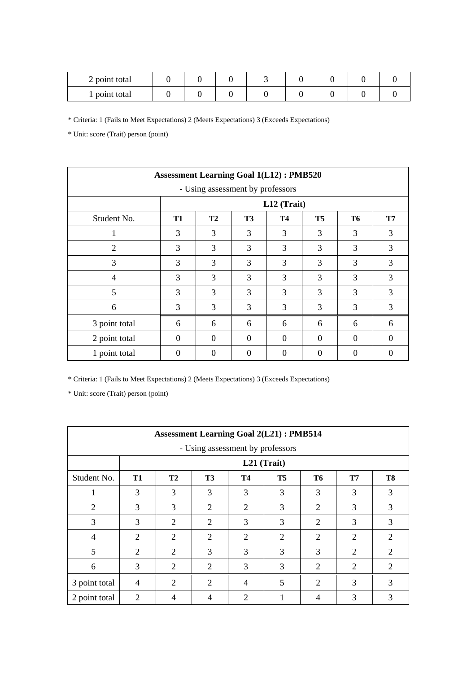| 2 point total |  |  |  |  |
|---------------|--|--|--|--|
| 1 point total |  |  |  |  |

\* Unit: score (Trait) person (point)

| <b>Assessment Learning Goal 1(L12): PMB520</b> |           |           |                |             |           |          |           |  |  |
|------------------------------------------------|-----------|-----------|----------------|-------------|-----------|----------|-----------|--|--|
| - Using assessment by professors               |           |           |                |             |           |          |           |  |  |
|                                                |           |           |                | L12 (Trait) |           |          |           |  |  |
| Student No.                                    | <b>T1</b> | <b>T2</b> | T <sub>3</sub> | T4          | <b>T5</b> | T6       | <b>T7</b> |  |  |
| 1                                              | 3         | 3         | 3              | 3           | 3         | 3        | 3         |  |  |
| $\overline{2}$                                 | 3         | 3         | 3              | 3           | 3         | 3        | 3         |  |  |
| 3                                              | 3         | 3         | 3              | 3           | 3         | 3        | 3         |  |  |
| 4                                              | 3         | 3         | 3              | 3           | 3         | 3        | 3         |  |  |
| 5                                              | 3         | 3         | 3              | 3           | 3         | 3        | 3         |  |  |
| 6                                              | 3         | 3         | 3              | 3           | 3         | 3        | 3         |  |  |
| 3 point total                                  | 6         | 6         | 6              | 6           | 6         | 6        | 6         |  |  |
| 2 point total                                  | $\theta$  | $\theta$  | $\Omega$       | $\Omega$    | $\Omega$  | $\Omega$ | $\theta$  |  |  |
| 1 point total                                  | 0         | $\Omega$  | $\theta$       | $\Omega$    | 0         | ∩        | $\left($  |  |  |

\* Criteria: 1 (Fails to Meet Expectations) 2 (Meets Expectations) 3 (Exceeds Expectations)

|               | <b>Assessment Learning Goal 2(L21): PMB514</b> |                             |                |                |             |                             |           |                |
|---------------|------------------------------------------------|-----------------------------|----------------|----------------|-------------|-----------------------------|-----------|----------------|
|               | - Using assessment by professors               |                             |                |                |             |                             |           |                |
|               |                                                |                             |                |                | L21 (Trait) |                             |           |                |
| Student No.   | T1                                             | <b>T2</b>                   | <b>T3</b>      | <b>T4</b>      | T5          | T6                          | <b>T7</b> | T <sub>8</sub> |
|               | 3                                              | 3                           | 3              | 3              | 3           | 3                           | 3         | 3              |
| 2             | 3                                              | 3                           | $\overline{2}$ | $\overline{2}$ | 3           | 2                           | 3         | 3              |
| 3             | 3                                              | 2                           | $\overline{2}$ | 3              | 3           | 2                           | 3         | 3              |
| 4             | $\mathcal{D}_{\mathcal{L}}$                    | 2                           | $\overline{c}$ | 2              | 2           | 2                           | 2         | 2              |
| 5             | $\mathcal{D}_{\mathcal{L}}$                    | 2                           | 3              | 3              | 3           | 3                           | 2         | 2              |
| 6             | 3                                              | $\mathcal{D}_{\mathcal{L}}$ | $\overline{2}$ | 3              | 3           | 2                           | 2         | 2              |
| 3 point total | $\overline{4}$                                 | $\mathcal{D}_{\mathcal{L}}$ | $\overline{2}$ | $\overline{4}$ | 5           | $\mathcal{D}_{\mathcal{L}}$ | 3         | 3              |
| 2 point total | $\overline{2}$                                 | 4                           | 4              | $\mathfrak{D}$ |             |                             | 3         | 3              |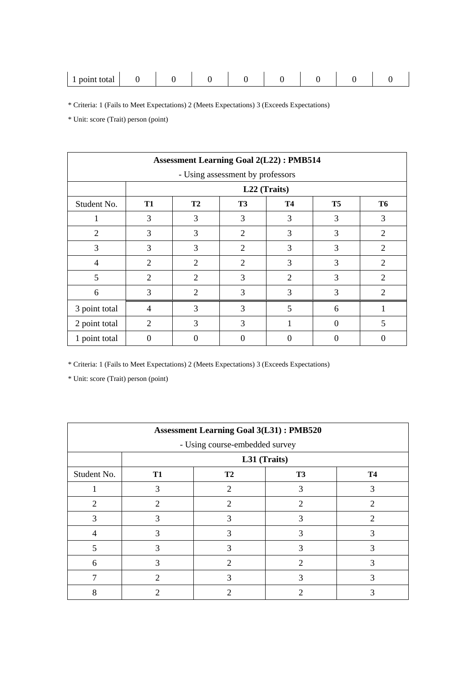| $n$ $\alpha$<br>.<br>τοιαι<br>້<br><b>.</b><br>$-0.111$ |  |  |  |  |  |  |  |  |  |
|---------------------------------------------------------|--|--|--|--|--|--|--|--|--|
|---------------------------------------------------------|--|--|--|--|--|--|--|--|--|

\* Unit: score (Trait) person (point)

|                | <b>Assessment Learning Goal 2(L22): PMB514</b> |                |                                  |           |                   |                             |  |
|----------------|------------------------------------------------|----------------|----------------------------------|-----------|-------------------|-----------------------------|--|
|                |                                                |                | - Using assessment by professors |           |                   |                             |  |
|                |                                                |                | L22 (Traits)                     |           |                   |                             |  |
| Student No.    | T1                                             | T <sub>2</sub> | T <sub>3</sub>                   | <b>T4</b> | <b>T5</b>         | <b>T6</b>                   |  |
|                | 3                                              | 3              | 3                                | 3         | 3                 | 3                           |  |
| $\overline{2}$ | 3                                              | 3              | $\overline{c}$                   | 3         | 3                 | $\mathcal{D}_{\mathcal{L}}$ |  |
| 3              | 3                                              | 3              | $\overline{c}$                   | 3         | 3                 | $\mathcal{D}_{\mathcal{L}}$ |  |
| $\overline{4}$ | 2                                              | $\overline{c}$ | 2                                | 3         | 3                 | 2                           |  |
| 5              | 2                                              | $\overline{2}$ | 3                                | 2         | 3                 | $\overline{2}$              |  |
| 6              | 3                                              | $\overline{2}$ | 3                                | 3         | 3                 | $\mathcal{D}_{\mathcal{L}}$ |  |
| 3 point total  | 4                                              | 3              | 3                                | 5         | 6                 |                             |  |
| 2 point total  | 2                                              | 3              | 3                                |           | $\mathbf{\Omega}$ | 5                           |  |
| 1 point total  |                                                | 0              |                                  |           |                   | 0                           |  |

\* Criteria: 1 (Fails to Meet Expectations) 2 (Meets Expectations) 3 (Exceeds Expectations)

|             | <b>Assessment Learning Goal 3(L31): PMB520</b> |                                |                |                |  |  |
|-------------|------------------------------------------------|--------------------------------|----------------|----------------|--|--|
|             |                                                | - Using course-embedded survey |                |                |  |  |
|             |                                                | L31 (Traits)                   |                |                |  |  |
| Student No. | T1                                             | <b>T2</b>                      | T <sub>3</sub> | <b>T4</b>      |  |  |
|             | 3                                              | $\overline{2}$                 | 3              | 3              |  |  |
| 2           | 2                                              | 2                              | 2              | $\overline{2}$ |  |  |
| 3           | 3                                              | 3                              |                | $\mathfrak{D}$ |  |  |
| 4           |                                                | 3                              |                | 3              |  |  |
| 5           | 3                                              | 3                              | 3              | 3              |  |  |
| 6           |                                                | 2                              | 2              |                |  |  |
|             |                                                | 3                              |                | 3              |  |  |
| 8           |                                                | 2                              |                |                |  |  |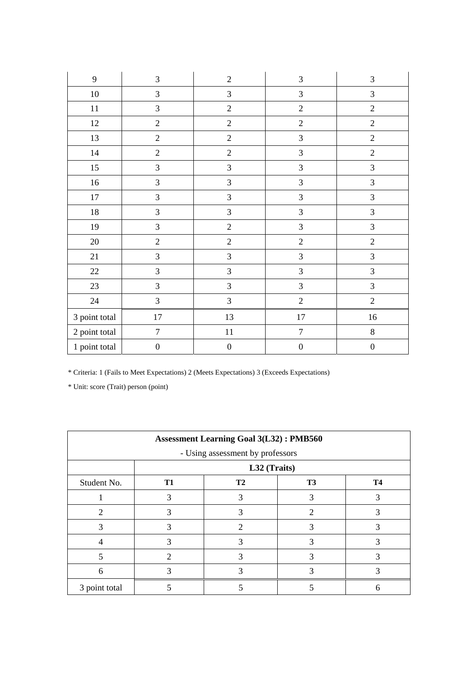| 9             | 3                | $\overline{2}$   | 3                | 3                |
|---------------|------------------|------------------|------------------|------------------|
| 10            | 3                | 3                | 3                | $\mathfrak{Z}$   |
| $11\,$        | $\mathfrak{Z}$   | $\overline{2}$   | $\overline{2}$   | $\overline{2}$   |
| 12            | $\sqrt{2}$       | $\overline{2}$   | $\overline{2}$   | $\overline{2}$   |
| 13            | $\overline{2}$   | $\overline{2}$   | 3                | $\overline{2}$   |
| 14            | $\sqrt{2}$       | $\overline{2}$   | 3                | $\overline{2}$   |
| $15\,$        | $\mathfrak{Z}$   | $\mathfrak{Z}$   | 3                | 3                |
| 16            | $\mathfrak{Z}$   | $\mathfrak{Z}$   | $\mathfrak{Z}$   | 3                |
| $17\,$        | 3                | $\mathfrak{Z}$   | 3                | $\overline{3}$   |
| $18\,$        | $\overline{3}$   | 3                | 3                | $\mathfrak{Z}$   |
| 19            | $\overline{3}$   | $\sqrt{2}$       | 3                | $\mathfrak{Z}$   |
| $20\,$        | $\sqrt{2}$       | $\sqrt{2}$       | $\overline{2}$   | $\overline{2}$   |
| $21\,$        | $\mathfrak{Z}$   | $\overline{3}$   | 3                | $\overline{3}$   |
| $22\,$        | 3                | 3                | 3                | $\mathfrak{Z}$   |
| 23            | 3                | 3                | 3                | $\mathfrak{Z}$   |
| 24            | 3                | 3                | $\overline{2}$   | $\overline{2}$   |
| 3 point total | $17\,$           | 13               | $17\,$           | $16\,$           |
| 2 point total | $\boldsymbol{7}$ | $11\,$           | $\boldsymbol{7}$ | $\,8\,$          |
| 1 point total | $\boldsymbol{0}$ | $\boldsymbol{0}$ | $\boldsymbol{0}$ | $\boldsymbol{0}$ |

|               | <b>Assessment Learning Goal 3(L32): PMB560</b> |                |    |           |  |  |  |
|---------------|------------------------------------------------|----------------|----|-----------|--|--|--|
|               | - Using assessment by professors               |                |    |           |  |  |  |
|               |                                                | L32 (Traits)   |    |           |  |  |  |
| Student No.   | T1                                             | T <sub>2</sub> | T3 | <b>T4</b> |  |  |  |
|               | 3                                              | 3              |    |           |  |  |  |
| 2             |                                                |                | 2  |           |  |  |  |
| 3             | 3                                              | 2              |    | 3         |  |  |  |
|               |                                                | $\mathcal{R}$  |    |           |  |  |  |
|               | $\mathcal{D}_{\cdot}$                          |                |    |           |  |  |  |
| 6             |                                                |                |    |           |  |  |  |
| 3 point total |                                                |                |    | n         |  |  |  |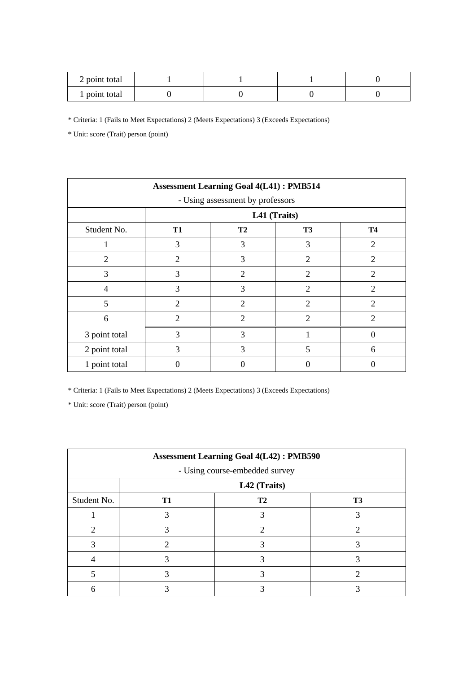| 2 point total |  |  |
|---------------|--|--|
| 1 point total |  |  |

\* Unit: score (Trait) person (point)

|                                  | <b>Assessment Learning Goal 4(L41): PMB514</b> |                |                             |                             |  |  |  |
|----------------------------------|------------------------------------------------|----------------|-----------------------------|-----------------------------|--|--|--|
| - Using assessment by professors |                                                |                |                             |                             |  |  |  |
|                                  |                                                | L41 (Traits)   |                             |                             |  |  |  |
| Student No.                      | <b>T1</b>                                      | T <sub>2</sub> | <b>T3</b>                   | <b>T4</b>                   |  |  |  |
|                                  | 3                                              | 3              | 3                           | $\overline{2}$              |  |  |  |
| $\mathcal{D}_{\mathcal{L}}$      | $\mathfrak{D}$                                 | 3              | $\overline{2}$              | $\mathcal{D}_{\mathcal{L}}$ |  |  |  |
| 3                                | 3                                              | $\overline{2}$ | $\overline{2}$              | $\overline{2}$              |  |  |  |
| $\overline{4}$                   | 3                                              | 3              | 2                           | $\overline{2}$              |  |  |  |
| 5                                | $\mathcal{D}_{\mathcal{L}}$                    | $\overline{2}$ | 2                           | $\overline{c}$              |  |  |  |
| 6                                | 2                                              | $\overline{2}$ | $\mathcal{D}_{\mathcal{L}}$ | $\mathcal{D}_{\mathcal{L}}$ |  |  |  |
| 3 point total                    | 3                                              | 3              |                             |                             |  |  |  |
| 2 point total                    | 3                                              | 3              | 5                           | 6                           |  |  |  |
| 1 point total                    | 0                                              |                |                             |                             |  |  |  |

\* Criteria: 1 (Fails to Meet Expectations) 2 (Meets Expectations) 3 (Exceeds Expectations)

|             | <b>Assessment Learning Goal 4(L42): PMB590</b> |    |                |  |  |  |  |
|-------------|------------------------------------------------|----|----------------|--|--|--|--|
|             | - Using course-embedded survey                 |    |                |  |  |  |  |
|             | L42 (Traits)                                   |    |                |  |  |  |  |
| Student No. | T <sub>1</sub>                                 | T2 | T <sub>3</sub> |  |  |  |  |
|             |                                                |    |                |  |  |  |  |
| 2           |                                                |    | 2              |  |  |  |  |
|             |                                                |    |                |  |  |  |  |
|             |                                                |    |                |  |  |  |  |
|             |                                                |    | ി              |  |  |  |  |
|             |                                                |    |                |  |  |  |  |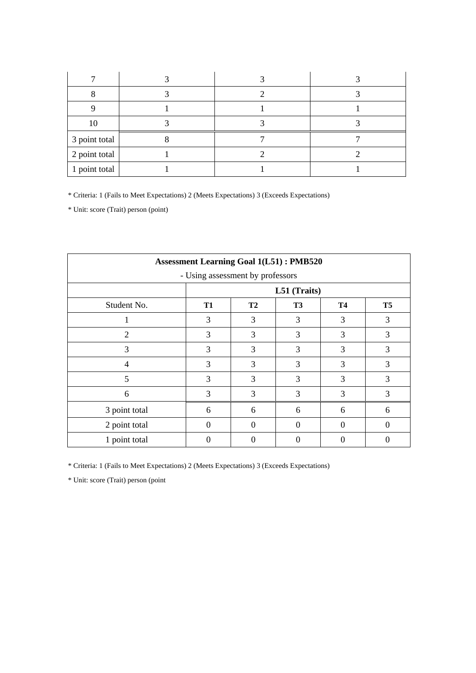| 10            |  |  |
|---------------|--|--|
| 3 point total |  |  |
| 2 point total |  |  |
| 1 point total |  |  |

\* Unit: score (Trait) person (point)

| <b>Assessment Learning Goal 1(L51): PMB520</b> |           |                                  |              |           |                |  |
|------------------------------------------------|-----------|----------------------------------|--------------|-----------|----------------|--|
|                                                |           | - Using assessment by professors |              |           |                |  |
|                                                |           |                                  | L51 (Traits) |           |                |  |
| Student No.                                    | <b>T1</b> | T <sub>2</sub>                   | <b>T3</b>    | <b>T4</b> | T <sub>5</sub> |  |
|                                                | 3         | 3                                | 3            | 3         | 3              |  |
| $\overline{2}$                                 | 3         | 3                                | 3            | 3         | 3              |  |
| 3                                              | 3         | 3                                | 3            | 3         | 3              |  |
| 4                                              | 3         | 3                                | 3            | 3         | 3              |  |
| 5                                              | 3         | 3                                | 3            | 3         | 3              |  |
| 6                                              | 3         | 3                                | 3            | 3         | 3              |  |
| 3 point total                                  | 6         | 6                                | 6            | 6         | 6              |  |
| 2 point total                                  | $\Omega$  | $\Omega$                         | 0            | $\Omega$  | $\Omega$       |  |
| 1 point total                                  | 0         | 0                                | 0            |           | $\Omega$       |  |

\* Criteria: 1 (Fails to Meet Expectations) 2 (Meets Expectations) 3 (Exceeds Expectations)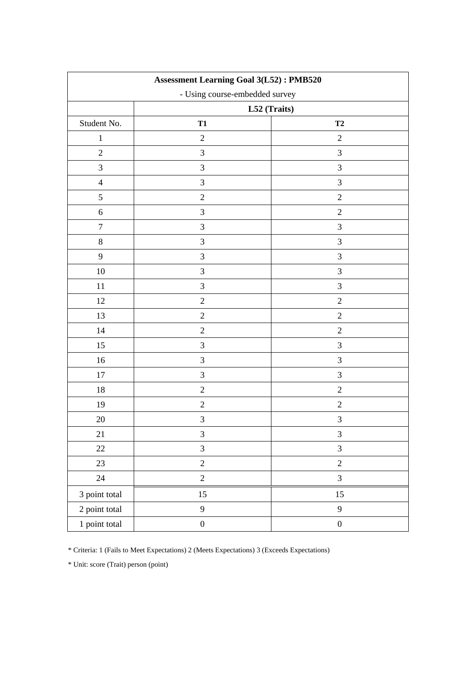| <b>Assessment Learning Goal 3(L52): PMB520</b> |                                |                             |  |  |  |  |
|------------------------------------------------|--------------------------------|-----------------------------|--|--|--|--|
|                                                | - Using course-embedded survey |                             |  |  |  |  |
|                                                | L52 (Traits)                   |                             |  |  |  |  |
| Student No.                                    | <b>T1</b>                      | T2                          |  |  |  |  |
| $\mathbf{1}$                                   | $\sqrt{2}$                     | $\mathbf{2}$                |  |  |  |  |
| $\sqrt{2}$                                     | $\mathfrak{Z}$                 | $\mathfrak{Z}$              |  |  |  |  |
| $\mathfrak{Z}$                                 | $\mathfrak{Z}$                 | $\mathfrak{Z}$              |  |  |  |  |
| $\overline{4}$                                 | $\mathfrak{Z}$                 | $\mathfrak{Z}$              |  |  |  |  |
| $\mathfrak s$                                  | $\sqrt{2}$                     | $\sqrt{2}$                  |  |  |  |  |
| $\sqrt{6}$                                     | 3                              | $\mathbf{2}$                |  |  |  |  |
| $\tau$                                         | $\mathfrak{Z}$                 | $\mathfrak{Z}$              |  |  |  |  |
| $8\,$                                          | 3                              | $\mathfrak{Z}$              |  |  |  |  |
| 9                                              | $\mathfrak{Z}$                 | $\mathfrak{Z}$              |  |  |  |  |
| 10                                             | $\mathfrak{Z}$                 | $\mathfrak{Z}$              |  |  |  |  |
| 11                                             | $\mathfrak{Z}$                 | $\mathfrak{Z}$              |  |  |  |  |
| 12                                             | $\sqrt{2}$                     | $\sqrt{2}$                  |  |  |  |  |
| 13                                             | $\sqrt{2}$                     | $\sqrt{2}$                  |  |  |  |  |
| 14                                             | $\sqrt{2}$                     | $\sqrt{2}$                  |  |  |  |  |
| 15                                             | $\mathfrak{Z}$                 | $\mathfrak{Z}$              |  |  |  |  |
| 16                                             | $\mathfrak{Z}$                 | $\mathfrak{Z}$              |  |  |  |  |
| 17                                             | $\mathfrak{Z}$                 | $\mathfrak{Z}$              |  |  |  |  |
| 18                                             | $\overline{2}$                 | $\mathbf{2}$                |  |  |  |  |
| 19                                             | $\sqrt{2}$                     | $\sqrt{2}$                  |  |  |  |  |
| 20                                             | $\mathfrak{Z}$                 | $\mathfrak{Z}$              |  |  |  |  |
| 21                                             | $\mathfrak{Z}$                 | $\ensuremath{\mathfrak{Z}}$ |  |  |  |  |
| $22\,$                                         | $\mathfrak{Z}$                 | $\mathfrak{Z}$              |  |  |  |  |
| 23                                             | $\overline{c}$                 | $\boldsymbol{2}$            |  |  |  |  |
| 24                                             | $\overline{c}$                 | $\mathfrak{Z}$              |  |  |  |  |
| 3 point total                                  | 15                             | 15                          |  |  |  |  |
| 2 point total                                  | 9                              | $\overline{9}$              |  |  |  |  |
| 1 point total                                  | $\boldsymbol{0}$               | $\boldsymbol{0}$            |  |  |  |  |